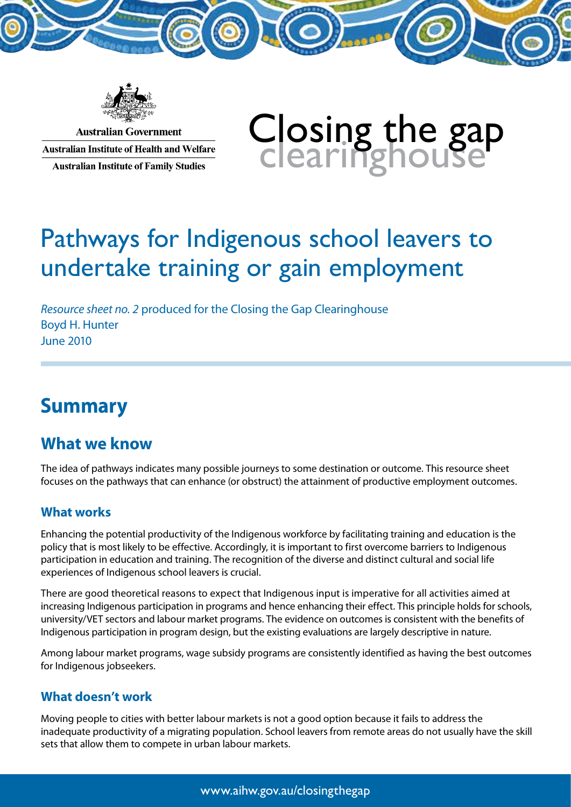

**Australian Government Australian Institute of Health and Welfare Australian Institute of Family Studies** 

# Closing the gap<br>Clearinghouse

# Pathways for Indigenous school leavers to undertake training or gain employment

*Resource sheet no. 2* produced for the Closing the Gap Clearinghouse Boyd H. Hunter June 2010

# **Summary**

#### **What we know**

The idea of pathways indicates many possible journeys to some destination or outcome. This resource sheet focuses on the pathways that can enhance (or obstruct) the attainment of productive employment outcomes.

#### **What works**

Enhancing the potential productivity of the Indigenous workforce by facilitating training and education is the policy that is most likely to be effective. Accordingly, it is important to first overcome barriers to Indigenous participation in education and training. The recognition of the diverse and distinct cultural and social life experiences of Indigenous school leavers is crucial.

There are good theoretical reasons to expect that Indigenous input is imperative for all activities aimed at increasing Indigenous participation in programs and hence enhancing their effect. This principle holds for schools, university/VET sectors and labour market programs. The evidence on outcomes is consistent with the benefits of Indigenous participation in program design, but the existing evaluations are largely descriptive in nature.

Among labour market programs, wage subsidy programs are consistently identified as having the best outcomes for Indigenous jobseekers.

#### **What doesn't work**

Moving people to cities with better labour markets is not a good option because it fails to address the inadequate productivity of a migrating population. School leavers from remote areas do not usually have the skill sets that allow them to compete in urban labour markets.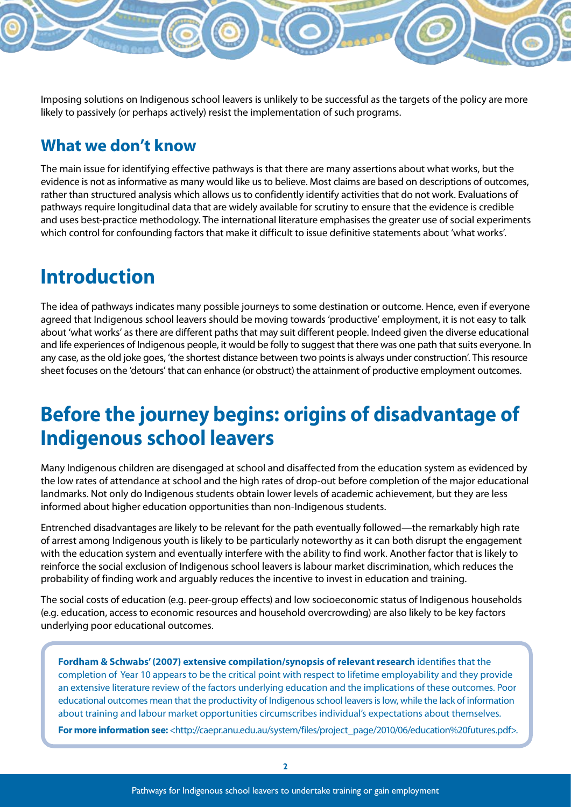Imposing solutions on Indigenous school leavers is unlikely to be successful as the targets of the policy are more likely to passively (or perhaps actively) resist the implementation of such programs.

#### **What we don't know**

The main issue for identifying effective pathways is that there are many assertions about what works, but the evidence is not as informative as many would like us to believe. Most claims are based on descriptions of outcomes, rather than structured analysis which allows us to confidently identify activities that do not work. Evaluations of pathways require longitudinal data that are widely available for scrutiny to ensure that the evidence is credible and uses best-practice methodology. The international literature emphasises the greater use of social experiments which control for confounding factors that make it difficult to issue definitive statements about 'what works'.

## **Introduction**

The idea of pathways indicates many possible journeys to some destination or outcome. Hence, even if everyone agreed that Indigenous school leavers should be moving towards 'productive' employment, it is not easy to talk about 'what works' as there are different paths that may suit different people. Indeed given the diverse educational and life experiences of Indigenous people, it would be folly to suggest that there was one path that suits everyone. In any case, as the old joke goes, 'the shortest distance between two points is always under construction'. This resource sheet focuses on the 'detours' that can enhance (or obstruct) the attainment of productive employment outcomes.

# **Before the journey begins: origins of disadvantage of Indigenous school leavers**

Many Indigenous children are disengaged at school and disaffected from the education system as evidenced by the low rates of attendance at school and the high rates of drop-out before completion of the major educational landmarks. Not only do Indigenous students obtain lower levels of academic achievement, but they are less informed about higher education opportunities than non-Indigenous students.

Entrenched disadvantages are likely to be relevant for the path eventually followed—the remarkably high rate of arrest among Indigenous youth is likely to be particularly noteworthy as it can both disrupt the engagement with the education system and eventually interfere with the ability to find work. Another factor that is likely to reinforce the social exclusion of Indigenous school leavers is labour market discrimination, which reduces the probability of finding work and arguably reduces the incentive to invest in education and training.

The social costs of education (e.g. peer-group effects) and low socioeconomic status of Indigenous households (e.g. education, access to economic resources and household overcrowding) are also likely to be key factors underlying poor educational outcomes.

**Fordham & Schwabs' (2007) extensive compilation/synopsis of relevant research** identifies that the completion of Year 10 appears to be the critical point with respect to lifetime employability and they provide an extensive literature review of the factors underlying education and the implications of these outcomes. Poor educational outcomes mean that the productivity of Indigenous school leavers is low, while the lack of information about training and labour market opportunities circumscribes individual's expectations about themselves.

**For more information see:** <http://caepr.anu.edu.au/system/files/project\_page/2010/06/education%20futures.pdf>.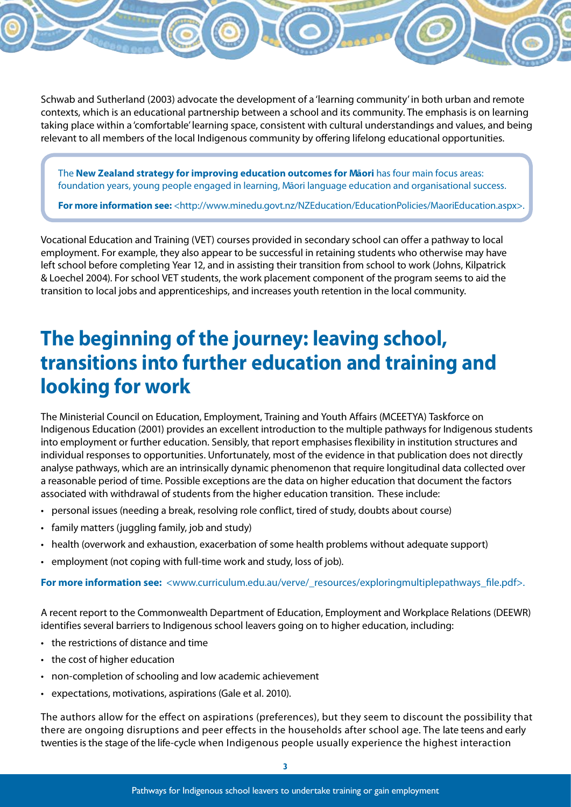Schwab and Sutherland (2003) advocate the development of a 'learning community' in both urban and remote contexts, which is an educational partnership between a school and its community. The emphasis is on learning taking place within a 'comfortable' learning space, consistent with cultural understandings and values, and being relevant to all members of the local Indigenous community by offering lifelong educational opportunities.

The **New Zealand strategy for improving education outcomes for Māori** has four main focus areas: foundation years, young people engaged in learning, Māori language education and organisational success.

**For more information see:** <http://www.minedu.govt.nz/NZEducation/EducationPolicies/MaoriEducation.aspx>.

Vocational Education and Training (VET) courses provided in secondary school can offer a pathway to local employment. For example, they also appear to be successful in retaining students who otherwise may have left school before completing Year 12, and in assisting their transition from school to work (Johns, Kilpatrick & Loechel 2004). For school VET students, the work placement component of the program seems to aid the transition to local jobs and apprenticeships, and increases youth retention in the local community.

## **The beginning of the journey: leaving school, transitions into further education and training and looking for work**

The Ministerial Council on Education, Employment, Training and Youth Affairs (MCEETYA) Taskforce on Indigenous Education (2001) provides an excellent introduction to the multiple pathways for Indigenous students into employment or further education. Sensibly, that report emphasises flexibility in institution structures and individual responses to opportunities. Unfortunately, most of the evidence in that publication does not directly analyse pathways, which are an intrinsically dynamic phenomenon that require longitudinal data collected over a reasonable period of time. Possible exceptions are the data on higher education that document the factors associated with withdrawal of students from the higher education transition. These include:

- • personal issues (needing a break, resolving role conflict, tired of study, doubts about course)
- family matters (juggling family, job and study)
- • health (overwork and exhaustion, exacerbation of some health problems without adequate support)
- employment (not coping with full-time work and study, loss of job).

**For more information see:** <www.curriculum.edu.au/verve/\_resources/exploringmultiplepathways\_file.pdf>.

A recent report to the Commonwealth Department of Education, Employment and Workplace Relations (DEEWR) identifies several barriers to Indigenous school leavers going on to higher education, including:

- the restrictions of distance and time
- the cost of higher education
- non-completion of schooling and low academic achievement
- • expectations, motivations, aspirations (Gale et al. 2010).

The authors allow for the effect on aspirations (preferences), but they seem to discount the possibility that there are ongoing disruptions and peer effects in the households after school age. The late teens and early twenties is the stage of the life-cycle when Indigenous people usually experience the highest interaction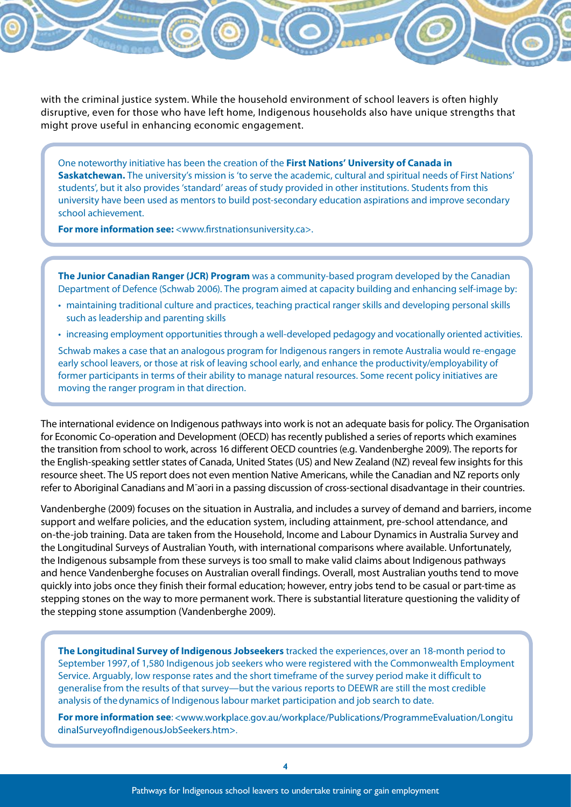with the criminal justice system. While the household environment of school leavers is often highly disruptive, even for those who have left home, Indigenous households also have unique strengths that might prove useful in enhancing economic engagement.

One noteworthy initiative has been the creation of the **First Nations' University of Canada in Saskatchewan.** The university's mission is 'to serve the academic, cultural and spiritual needs of First Nations' students', but it also provides 'standard' areas of study provided in other institutions. Students from this university have been used as mentors to build post-secondary education aspirations and improve secondary school achievement.

**For more information see:** <www.firstnationsuniversity.ca>.

**The Junior Canadian Ranger (JCR) Program** was a community-based program developed by the Canadian Department of Defence (Schwab 2006). The program aimed at capacity building and enhancing self-image by:

- • maintaining traditional culture and practices, teaching practical ranger skills and developing personal skills such as leadership and parenting skills
- • increasing employment opportunities through a well-developed pedagogy and vocationally oriented activities.

Schwab makes a case that an analogous program for Indigenous rangers in remote Australia would re-engage early school leavers, or those at risk of leaving school early, and enhance the productivity/employability of former participants in terms of their ability to manage natural resources. Some recent policy initiatives are moving the ranger program in that direction.

The international evidence on Indigenous pathways into work is not an adequate basis for policy. The Organisation for Economic Co-operation and Development (OECD) has recently published a series of reports which examines the transition from school to work, across 16 different OECD countries (e.g. Vandenberghe 2009). The reports for the English-speaking settler states of Canada, United States (US) and New Zealand (NZ) reveal few insights for this resource sheet. The US report does not even mention Native Americans, while the Canadian and NZ reports only refer to Aboriginal Canadians and Mˉaori in a passing discussion of cross-sectional disadvantage in their countries.

Vandenberghe (2009) focuses on the situation in Australia, and includes a survey of demand and barriers, income support and welfare policies, and the education system, including attainment, pre-school attendance, and on-the-job training. Data are taken from the Household, Income and Labour Dynamics in Australia Survey and the Longitudinal Surveys of Australian Youth, with international comparisons where available. Unfortunately, the Indigenous subsample from these surveys is too small to make valid claims about Indigenous pathways and hence Vandenberghe focuses on Australian overall findings. Overall, most Australian youths tend to move quickly into jobs once they finish their formal education; however, entry jobs tend to be casual or part-time as stepping stones on the way to more permanent work. There is substantial literature questioning the validity of the stepping stone assumption (Vandenberghe 2009).

**The Longitudinal Survey of Indigenous Jobseekers** tracked the experiences, over an 18-month period to September 1997, of 1,580 Indigenous job seekers who were registered with the Commonwealth Employment Service. Arguably, low response rates and the short timeframe of the survey period make it difficult to generalise from the results of that survey—but the various reports to DEEWR are still the most credible analysis of the dynamics of Indigenous labour market participation and job search to date.

**For more information see:** <www.workplace.gov.au/workplace/Publications/ProgrammeEvaluation/Longitu dinalSurveyofIndigenousJobSeekers.htm>.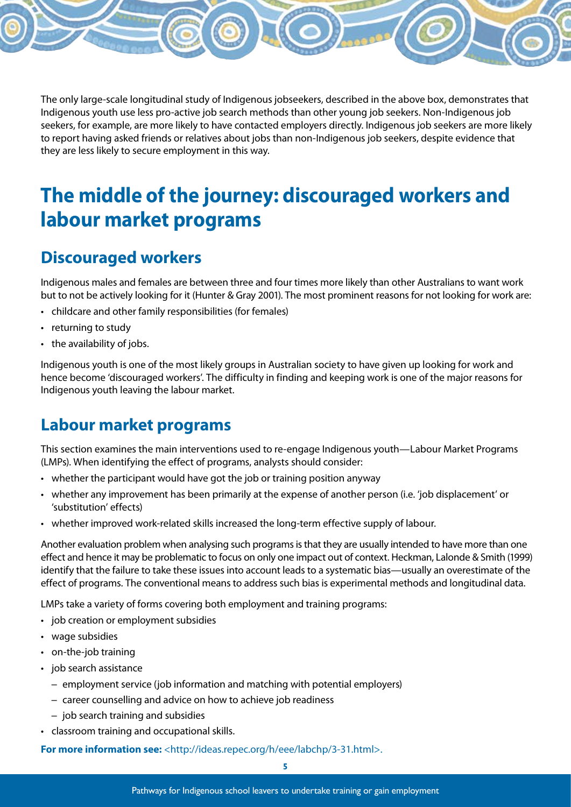The only large-scale longitudinal study of Indigenous jobseekers, described in the above box, demonstrates that Indigenous youth use less pro-active job search methods than other young job seekers. Non-Indigenous job seekers, for example, are more likely to have contacted employers directly. Indigenous job seekers are more likely to report having asked friends or relatives about jobs than non-Indigenous job seekers, despite evidence that they are less likely to secure employment in this way.

# **The middle of the journey: discouraged workers and labour market programs**

#### **Discouraged workers**

Indigenous males and females are between three and four times more likely than other Australians to want work but to not be actively looking for it (Hunter & Gray 2001). The most prominent reasons for not looking for work are:

- • childcare and other family responsibilities (for females)
- returning to study
- the availability of jobs.

Indigenous youth is one of the most likely groups in Australian society to have given up looking for work and hence become 'discouraged workers'. The difficulty in finding and keeping work is one of the major reasons for Indigenous youth leaving the labour market.

#### **Labour market programs**

This section examines the main interventions used to re-engage Indigenous youth—Labour Market Programs (LMPs). When identifying the effect of programs, analysts should consider:

- whether the participant would have got the job or training position anyway
- • whether any improvement has been primarily at the expense of another person (i.e. 'job displacement' or 'substitution' effects)
- whether improved work-related skills increased the long-term effective supply of labour.

Another evaluation problem when analysing such programs is that they are usually intended to have more than one effect and hence it may be problematic to focus on only one impact out of context. Heckman, Lalonde & Smith (1999) identify that the failure to take these issues into account leads to a systematic bias—usually an overestimate of the effect of programs. The conventional means to address such bias is experimental methods and longitudinal data.

LMPs take a variety of forms covering both employment and training programs:

- job creation or employment subsidies
- wage subsidies
- on-the-job training
- job search assistance
	- employment service (job information and matching with potential employers)
	- career counselling and advice on how to achieve job readiness
	- job search training and subsidies
- • classroom training and occupational skills.

**For more information see:** <http://ideas.repec.org/h/eee/labchp/3-31.html>.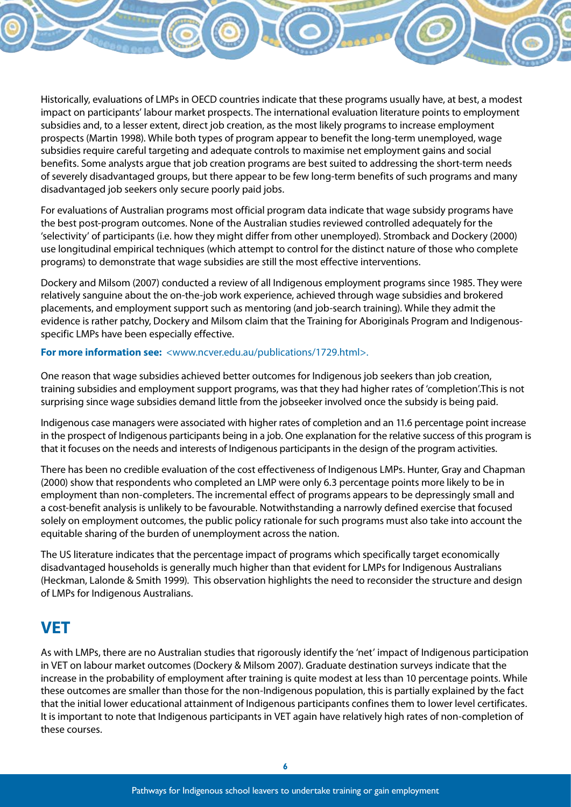Historically, evaluations of LMPs in OECD countries indicate that these programs usually have, at best, a modest impact on participants' labour market prospects. The international evaluation literature points to employment subsidies and, to a lesser extent, direct job creation, as the most likely programs to increase employment prospects (Martin 1998). While both types of program appear to benefit the long-term unemployed, wage subsidies require careful targeting and adequate controls to maximise net employment gains and social benefits. Some analysts argue that job creation programs are best suited to addressing the short-term needs of severely disadvantaged groups, but there appear to be few long-term benefits of such programs and many disadvantaged job seekers only secure poorly paid jobs.

For evaluations of Australian programs most official program data indicate that wage subsidy programs have the best post-program outcomes. None of the Australian studies reviewed controlled adequately for the 'selectivity' of participants (i.e. how they might differ from other unemployed). Stromback and Dockery (2000) use longitudinal empirical techniques (which attempt to control for the distinct nature of those who complete programs) to demonstrate that wage subsidies are still the most effective interventions.

Dockery and Milsom (2007) conducted a review of all Indigenous employment programs since 1985. They were relatively sanguine about the on-the-job work experience, achieved through wage subsidies and brokered placements, and employment support such as mentoring (and job-search training). While they admit the evidence is rather patchy, Dockery and Milsom claim that the Training for Aboriginals Program and Indigenousspecific LMPs have been especially effective.

#### **For more information see:** <www.ncver.edu.au/publications/1729.html>.

One reason that wage subsidies achieved better outcomes for Indigenous job seekers than job creation, training subsidies and employment support programs, was that they had higher rates of 'completion'.This is not surprising since wage subsidies demand little from the jobseeker involved once the subsidy is being paid.

Indigenous case managers were associated with higher rates of completion and an 11.6 percentage point increase in the prospect of Indigenous participants being in a job. One explanation for the relative success of this program is that it focuses on the needs and interests of Indigenous participants in the design of the program activities.

There has been no credible evaluation of the cost effectiveness of Indigenous LMPs. Hunter, Gray and Chapman (2000) show that respondents who completed an LMP were only 6.3 percentage points more likely to be in employment than non-completers. The incremental effect of programs appears to be depressingly small and a cost-benefit analysis is unlikely to be favourable. Notwithstanding a narrowly defined exercise that focused solely on employment outcomes, the public policy rationale for such programs must also take into account the equitable sharing of the burden of unemployment across the nation.

The US literature indicates that the percentage impact of programs which specifically target economically disadvantaged households is generally much higher than that evident for LMPs for Indigenous Australians (Heckman, Lalonde & Smith 1999). This observation highlights the need to reconsider the structure and design of LMPs for Indigenous Australians.

#### **VET**

As with LMPs, there are no Australian studies that rigorously identify the 'net' impact of Indigenous participation in VET on labour market outcomes (Dockery & Milsom 2007). Graduate destination surveys indicate that the increase in the probability of employment after training is quite modest at less than 10 percentage points. While these outcomes are smaller than those for the non-Indigenous population, this is partially explained by the fact that the initial lower educational attainment of Indigenous participants confines them to lower level certificates. It is important to note that Indigenous participants in VET again have relatively high rates of non-completion of these courses.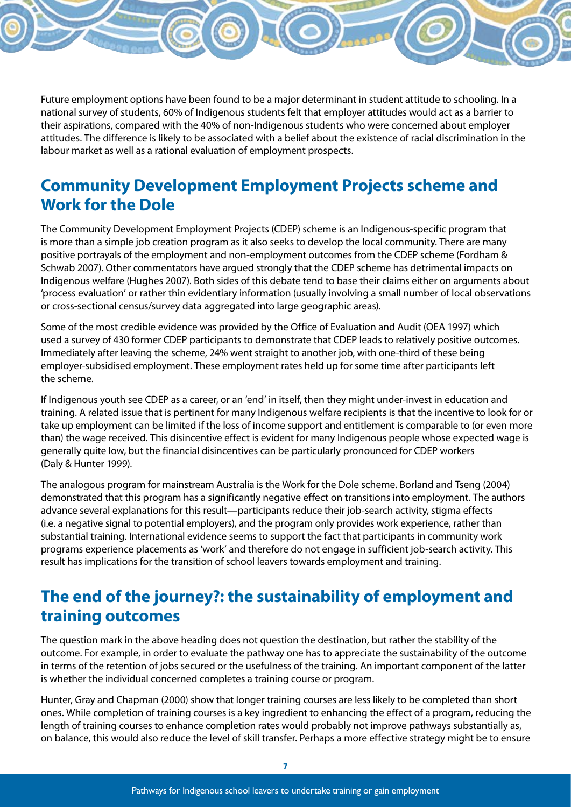Future employment options have been found to be a major determinant in student attitude to schooling. In a national survey of students, 60% of Indigenous students felt that employer attitudes would act as a barrier to their aspirations, compared with the 40% of non-Indigenous students who were concerned about employer attitudes. The difference is likely to be associated with a belief about the existence of racial discrimination in the labour market as well as a rational evaluation of employment prospects.

#### **Community Development Employment Projects scheme and Work for the Dole**

The Community Development Employment Projects (CDEP) scheme is an Indigenous-specific program that is more than a simple job creation program as it also seeks to develop the local community. There are many positive portrayals of the employment and non-employment outcomes from the CDEP scheme (Fordham & Schwab 2007). Other commentators have argued strongly that the CDEP scheme has detrimental impacts on Indigenous welfare (Hughes 2007). Both sides of this debate tend to base their claims either on arguments about 'process evaluation' or rather thin evidentiary information (usually involving a small number of local observations or cross-sectional census/survey data aggregated into large geographic areas).

Some of the most credible evidence was provided by the Office of Evaluation and Audit (OEA 1997) which used a survey of 430 former CDEP participants to demonstrate that CDEP leads to relatively positive outcomes. Immediately after leaving the scheme, 24% went straight to another job, with one-third of these being employer-subsidised employment. These employment rates held up for some time after participants left the scheme.

If Indigenous youth see CDEP as a career, or an 'end' in itself, then they might under-invest in education and training. A related issue that is pertinent for many Indigenous welfare recipients is that the incentive to look for or take up employment can be limited if the loss of income support and entitlement is comparable to (or even more than) the wage received. This disincentive effect is evident for many Indigenous people whose expected wage is generally quite low, but the financial disincentives can be particularly pronounced for CDEP workers (Daly & Hunter 1999).

The analogous program for mainstream Australia is the Work for the Dole scheme. Borland and Tseng (2004) demonstrated that this program has a significantly negative effect on transitions into employment. The authors advance several explanations for this result—participants reduce their job-search activity, stigma effects (i.e. a negative signal to potential employers), and the program only provides work experience, rather than substantial training. International evidence seems to support the fact that participants in community work programs experience placements as 'work' and therefore do not engage in sufficient job-search activity. This result has implications for the transition of school leavers towards employment and training.

#### **The end of the journey?: the sustainability of employment and training outcomes**

The question mark in the above heading does not question the destination, but rather the stability of the outcome. For example, in order to evaluate the pathway one has to appreciate the sustainability of the outcome in terms of the retention of jobs secured or the usefulness of the training. An important component of the latter is whether the individual concerned completes a training course or program.

Hunter, Gray and Chapman (2000) show that longer training courses are less likely to be completed than short ones. While completion of training courses is a key ingredient to enhancing the effect of a program, reducing the length of training courses to enhance completion rates would probably not improve pathways substantially as, on balance, this would also reduce the level of skill transfer. Perhaps a more effective strategy might be to ensure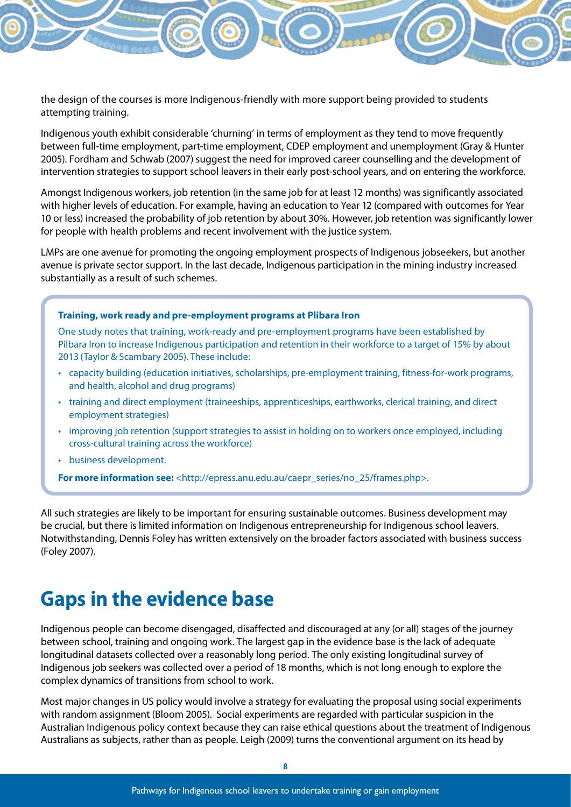the design of the courses is more Indigenous-friendly with more support being provided to students attempting training.

Indigenous youth exhibit considerable 'churning' in terms of employment as they tend to move frequently between full-time employment, part-time employment, CDEP employment and unemployment (Gray & Hunter 2005). Fordham and Schwab (2007) suggest the need for improved career counselling and the development of intervention strategies to support school leavers in their early post-school years, and on entering the workforce.

Amongst Indigenous workers, job retention (in the same job for at least 12 months) was significantly associated with higher levels of education. For example, having an education to Year 12 (compared with outcomes for Year 10 or less) increased the probability of job retention by about 30%. However, job retention was significantly lower for people with health problems and recent involvement with the justice system.

LMPs are one avenue for promoting the ongoing employment prospects of Indigenous jobseekers, but another avenue is private sector support. In the last decade, Indigenous participation in the mining industry increased substantially as a result of such schemes.

#### **Training, work ready and pre-employment programs at Plibara Iron**

One study notes that training, work-ready and pre-employment programs have been established by Pilbara Iron to increase Indigenous participation and retention in their workforce to a target of 15% by about 2013 (Taylor & Scambary 2005). These include:

- • capacity building (education initiatives, scholarships, pre-employment training, fitness-for-work programs, and health, alcohol and drug programs)
- • training and direct employment (traineeships, apprenticeships, earthworks, clerical training, and direct employment strategies)
- improving job retention (support strategies to assist in holding on to workers once employed, including cross-cultural training across the workforce)
- • business development.

**For more information see:** <http://epress.anu.edu.au/caepr\_series/no\_25/frames.php>.

All such strategies are likely to be important for ensuring sustainable outcomes. Business development may be crucial, but there is limited information on Indigenous entrepreneurship for Indigenous school leavers. Notwithstanding, Dennis Foley has written extensively on the broader factors associated with business success (Foley 2007).

## **Gaps in the evidence base**

Indigenous people can become disengaged, disaffected and discouraged at any (or all) stages of the journey between school, training and ongoing work. The largest gap in the evidence base is the lack of adequate longitudinal datasets collected over a reasonably long period. The only existing longitudinal survey of Indigenous job seekers was collected over a period of 18 months, which is not long enough to explore the complex dynamics of transitions from school to work.

Most major changes in US policy would involve a strategy for evaluating the proposal using social experiments with random assignment (Bloom 2005). Social experiments are regarded with particular suspicion in the Australian Indigenous policy context because they can raise ethical questions about the treatment of Indigenous Australians as subjects, rather than as people. Leigh (2009) turns the conventional argument on its head by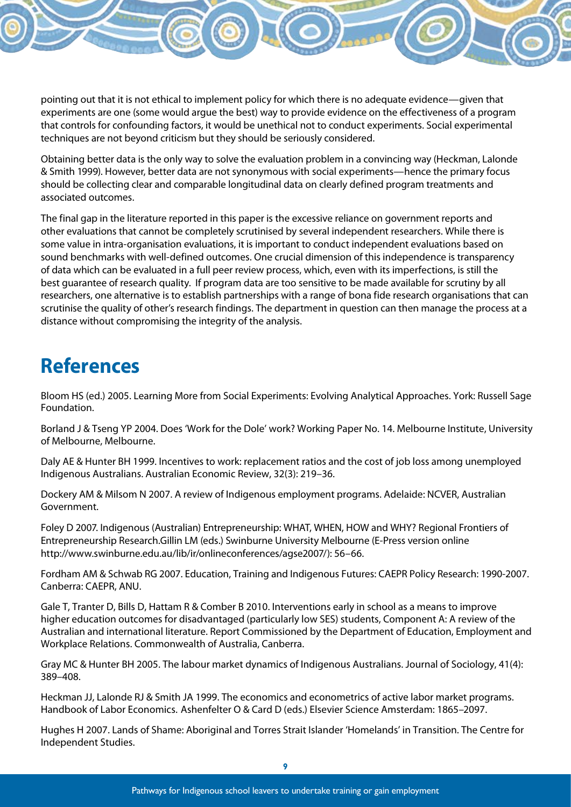pointing out that it is not ethical to implement policy for which there is no adequate evidence—given that experiments are one (some would argue the best) way to provide evidence on the effectiveness of a program that controls for confounding factors, it would be unethical not to conduct experiments. Social experimental techniques are not beyond criticism but they should be seriously considered.

Obtaining better data is the only way to solve the evaluation problem in a convincing way (Heckman, Lalonde & Smith 1999). However, better data are not synonymous with social experiments—hence the primary focus should be collecting clear and comparable longitudinal data on clearly defined program treatments and associated outcomes.

The final gap in the literature reported in this paper is the excessive reliance on government reports and other evaluations that cannot be completely scrutinised by several independent researchers. While there is some value in intra-organisation evaluations, it is important to conduct independent evaluations based on sound benchmarks with well-defined outcomes. One crucial dimension of this independence is transparency of data which can be evaluated in a full peer review process, which, even with its imperfections, is still the best guarantee of research quality. If program data are too sensitive to be made available for scrutiny by all researchers, one alternative is to establish partnerships with a range of bona fide research organisations that can scrutinise the quality of other's research findings. The department in question can then manage the process at a distance without compromising the integrity of the analysis.

# **References**

Bloom HS (ed.) 2005. Learning More from Social Experiments: Evolving Analytical Approaches. York: Russell Sage Foundation.

Borland J & Tseng YP 2004. Does 'Work for the Dole' work? Working Paper No. 14. Melbourne Institute, University of Melbourne, Melbourne.

Daly AE & Hunter BH 1999. Incentives to work: replacement ratios and the cost of job loss among unemployed Indigenous Australians. Australian Economic Review, 32(3): 219–36.

Dockery AM & Milsom N 2007. A review of Indigenous employment programs. Adelaide: NCVER, Australian Government.

Foley D 2007. Indigenous (Australian) Entrepreneurship: WHAT, WHEN, HOW and WHY? Regional Frontiers of Entrepreneurship Research.Gillin LM (eds.) Swinburne University Melbourne (E-Press version online http://www.swinburne.edu.au/lib/ir/onlineconferences/agse2007/): 56–66.

Fordham AM & Schwab RG 2007. Education, Training and Indigenous Futures: CAEPR Policy Research: 1990-2007. Canberra: CAEPR, ANU.

Gale T, Tranter D, Bills D, Hattam R & Comber B 2010. Interventions early in school as a means to improve higher education outcomes for disadvantaged (particularly low SES) students, Component A: A review of the Australian and international literature. Report Commissioned by the Department of Education, Employment and Workplace Relations. Commonwealth of Australia, Canberra.

Gray MC & Hunter BH 2005. The labour market dynamics of Indigenous Australians. Journal of Sociology, 41(4): 389–408.

Heckman JJ, Lalonde RJ & Smith JA 1999. The economics and econometrics of active labor market programs. Handbook of Labor Economics. Ashenfelter O & Card D (eds.) Elsevier Science Amsterdam: 1865–2097.

Hughes H 2007. Lands of Shame: Aboriginal and Torres Strait Islander 'Homelands' in Transition. The Centre for Independent Studies.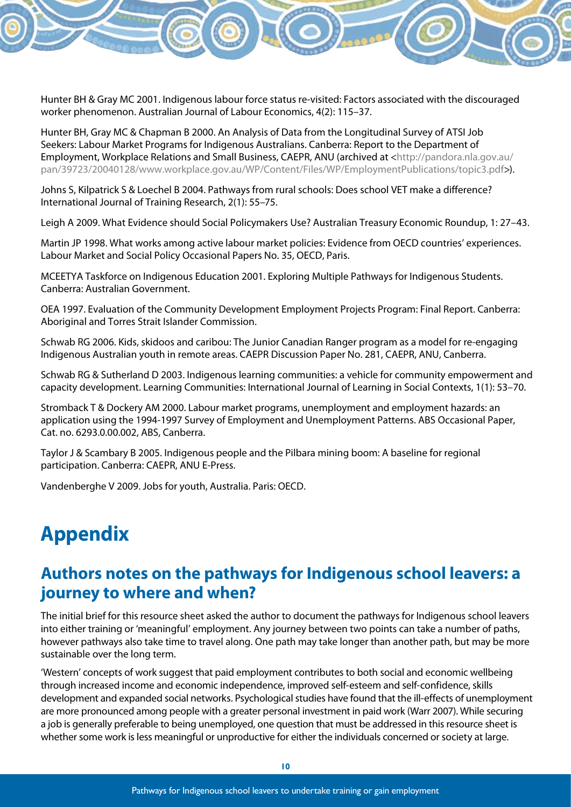Hunter BH & Gray MC 2001. Indigenous labour force status re-visited: Factors associated with the discouraged worker phenomenon. Australian Journal of Labour Economics, 4(2): 115–37.

Hunter BH, Gray MC & Chapman B 2000. An Analysis of Data from the Longitudinal Survey of ATSI Job Seekers: Labour Market Programs for Indigenous Australians. Canberra: Report to the Department of Employment, Workplace Relations and Small Business, CAEPR, ANU (archived at <http://pandora.nla.gov.au/ pan/39723/20040128/www.workplace.gov.au/WP/Content/Files/WP/EmploymentPublications/topic3.pdf>).

Johns S, Kilpatrick S & Loechel B 2004. Pathways from rural schools: Does school VET make a difference? International Journal of Training Research, 2(1): 55–75.

Leigh A 2009. What Evidence should Social Policymakers Use? Australian Treasury Economic Roundup, 1: 27–43.

Martin JP 1998. What works among active labour market policies: Evidence from OECD countries' experiences. Labour Market and Social Policy Occasional Papers No. 35, OECD, Paris.

MCEETYA Taskforce on Indigenous Education 2001. Exploring Multiple Pathways for Indigenous Students. Canberra: Australian Government.

OEA 1997. Evaluation of the Community Development Employment Projects Program: Final Report. Canberra: Aboriginal and Torres Strait Islander Commission.

Schwab RG 2006. Kids, skidoos and caribou: The Junior Canadian Ranger program as a model for re-engaging Indigenous Australian youth in remote areas. CAEPR Discussion Paper No. 281, CAEPR, ANU, Canberra.

Schwab RG & Sutherland D 2003. Indigenous learning communities: a vehicle for community empowerment and capacity development. Learning Communities: International Journal of Learning in Social Contexts, 1(1): 53–70.

Stromback T & Dockery AM 2000. Labour market programs, unemployment and employment hazards: an application using the 1994-1997 Survey of Employment and Unemployment Patterns. ABS Occasional Paper, Cat. no. 6293.0.00.002, ABS, Canberra.

Taylor J & Scambary B 2005. Indigenous people and the Pilbara mining boom: A baseline for regional participation. Canberra: CAEPR, ANU E-Press.

Vandenberghe V 2009. Jobs for youth, Australia. Paris: OECD.

## **Appendix**

#### **Authors notes on the pathways for Indigenous school leavers: a journey to where and when?**

The initial brief for this resource sheet asked the author to document the pathways for Indigenous school leavers into either training or 'meaningful' employment. Any journey between two points can take a number of paths, however pathways also take time to travel along. One path may take longer than another path, but may be more sustainable over the long term.

'Western' concepts of work suggest that paid employment contributes to both social and economic wellbeing through increased income and economic independence, improved self-esteem and self-confidence, skills development and expanded social networks. Psychological studies have found that the ill-effects of unemployment are more pronounced among people with a greater personal investment in paid work (Warr 2007). While securing a job is generally preferable to being unemployed, one question that must be addressed in this resource sheet is whether some work is less meaningful or unproductive for either the individuals concerned or society at large.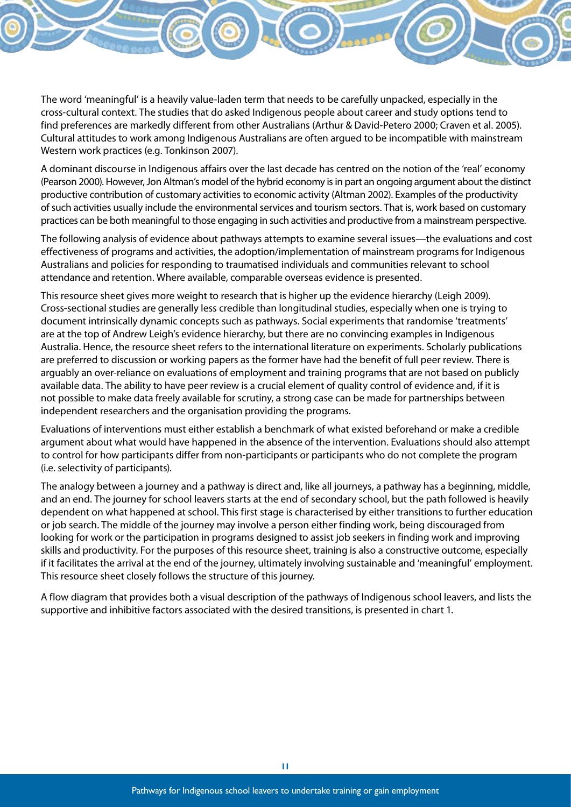The word 'meaningful' is a heavily value-laden term that needs to be carefully unpacked, especially in the cross-cultural context. The studies that do asked Indigenous people about career and study options tend to find preferences are markedly different from other Australians (Arthur & David-Petero 2000; Craven et al. 2005). Cultural attitudes to work among Indigenous Australians are often argued to be incompatible with mainstream Western work practices (e.g. Tonkinson 2007).

A dominant discourse in Indigenous affairs over the last decade has centred on the notion of the 'real' economy (Pearson 2000). However, Jon Altman's model of the hybrid economy is in part an ongoing argument about the distinct productive contribution of customary activities to economic activity (Altman 2002). Examples of the productivity of such activities usually include the environmental services and tourism sectors. That is, work based on customary practices can be both meaningful to those engaging in such activities and productive from a mainstream perspective.

The following analysis of evidence about pathways attempts to examine several issues—the evaluations and cost effectiveness of programs and activities, the adoption/implementation of mainstream programs for Indigenous Australians and policies for responding to traumatised individuals and communities relevant to school attendance and retention. Where available, comparable overseas evidence is presented.

This resource sheet gives more weight to research that is higher up the evidence hierarchy (Leigh 2009). Cross-sectional studies are generally less credible than longitudinal studies, especially when one is trying to document intrinsically dynamic concepts such as pathways. Social experiments that randomise 'treatments' are at the top of Andrew Leigh's evidence hierarchy, but there are no convincing examples in Indigenous Australia. Hence, the resource sheet refers to the international literature on experiments. Scholarly publications are preferred to discussion or working papers as the former have had the benefit of full peer review. There is arguably an over-reliance on evaluations of employment and training programs that are not based on publicly available data. The ability to have peer review is a crucial element of quality control of evidence and, if it is not possible to make data freely available for scrutiny, a strong case can be made for partnerships between independent researchers and the organisation providing the programs.

Evaluations of interventions must either establish a benchmark of what existed beforehand or make a credible argument about what would have happened in the absence of the intervention. Evaluations should also attempt to control for how participants differ from non-participants or participants who do not complete the program (i.e. selectivity of participants).

The analogy between a journey and a pathway is direct and, like all journeys, a pathway has a beginning, middle, and an end. The journey for school leavers starts at the end of secondary school, but the path followed is heavily dependent on what happened at school. This first stage is characterised by either transitions to further education or job search. The middle of the journey may involve a person either finding work, being discouraged from looking for work or the participation in programs designed to assist job seekers in finding work and improving skills and productivity. For the purposes of this resource sheet, training is also a constructive outcome, especially if it facilitates the arrival at the end of the journey, ultimately involving sustainable and 'meaningful' employment. This resource sheet closely follows the structure of this journey.

A flow diagram that provides both a visual description of the pathways of Indigenous school leavers, and lists the supportive and inhibitive factors associated with the desired transitions, is presented in chart 1.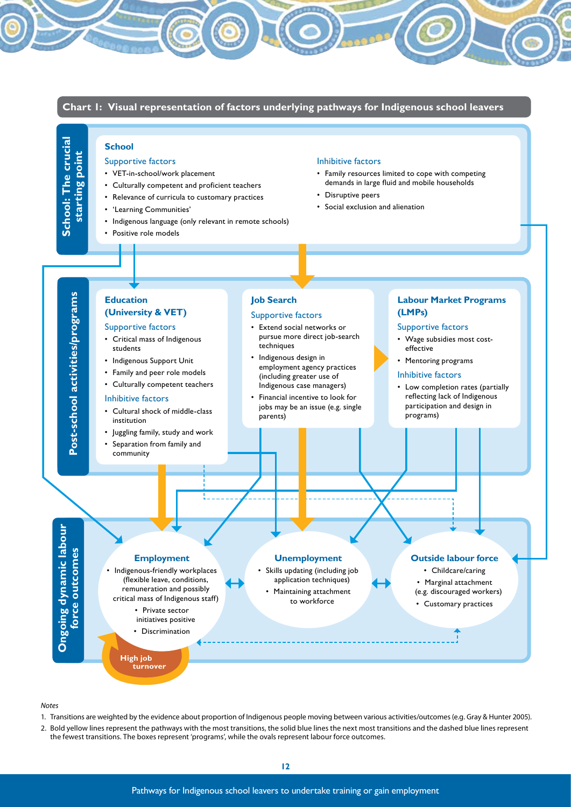

*Notes*

**13** Pathways for Indigenous school leavers to undertake training or gain employment

(e.g. Gray & Hunter 2005). Bold yellow lines represent the pathways with the most transitions, the solid blue lines the next most transitions 1. Transitions are weighted by the evidence about proportion of Indigenous people moving between various activities/outcomes (e.g. Gray & Hunter 2005).

2. Bold yellow lines represent the pathways with the most transitions, the solid blue lines the next most transitions and the dashed blue lines represent the fewest transitions. The boxes represent 'programs', while the ovals represent labour force outcomes.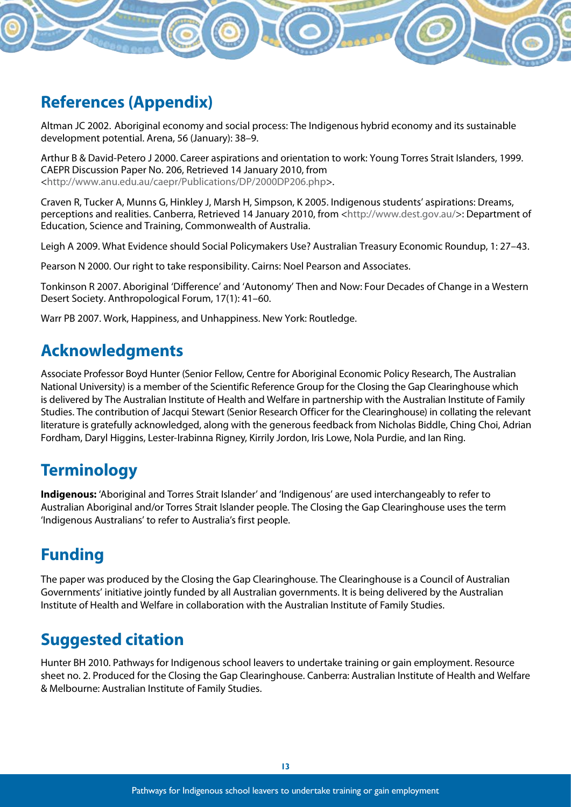#### **References (Appendix)**

Altman JC 2002. Aboriginal economy and social process: The Indigenous hybrid economy and its sustainable development potential. Arena, 56 (January): 38–9.

Arthur B & David-Petero J 2000. Career aspirations and orientation to work: Young Torres Strait Islanders, 1999. CAEPR Discussion Paper No. 206, Retrieved 14 January 2010, from <http://www.anu.edu.au/caepr/Publications/DP/2000DP206.php>.

Craven R, Tucker A, Munns G, Hinkley J, Marsh H, Simpson, K 2005. Indigenous students' aspirations: Dreams, perceptions and realities. Canberra, Retrieved 14 January 2010, from <http://www.dest.gov.au/>: Department of Education, Science and Training, Commonwealth of Australia.

Leigh A 2009. What Evidence should Social Policymakers Use? Australian Treasury Economic Roundup, 1: 27–43.

Pearson N 2000. Our right to take responsibility. Cairns: Noel Pearson and Associates.

Tonkinson R 2007. Aboriginal 'Difference' and 'Autonomy' Then and Now: Four Decades of Change in a Western Desert Society. Anthropological Forum, 17(1): 41–60.

Warr PB 2007. Work, Happiness, and Unhappiness. New York: Routledge.

#### **Acknowledgments**

Associate Professor Boyd Hunter (Senior Fellow, Centre for Aboriginal Economic Policy Research, The Australian National University) is a member of the Scientific Reference Group for the Closing the Gap Clearinghouse which is delivered by The Australian Institute of Health and Welfare in partnership with the Australian Institute of Family Studies. The contribution of Jacqui Stewart (Senior Research Officer for the Clearinghouse) in collating the relevant literature is gratefully acknowledged, along with the generous feedback from Nicholas Biddle, Ching Choi, Adrian Fordham, Daryl Higgins, Lester-Irabinna Rigney, Kirrily Jordon, Iris Lowe, Nola Purdie, and Ian Ring.

## **Terminology**

**Indigenous:** 'Aboriginal and Torres Strait Islander' and 'Indigenous' are used interchangeably to refer to Australian Aboriginal and/or Torres Strait Islander people. The Closing the Gap Clearinghouse uses the term 'Indigenous Australians' to refer to Australia's first people.

## **Funding**

The paper was produced by the Closing the Gap Clearinghouse. The Clearinghouse is a Council of Australian Governments' initiative jointly funded by all Australian governments. It is being delivered by the Australian Institute of Health and Welfare in collaboration with the Australian Institute of Family Studies.

## **Suggested citation**

Hunter BH 2010. Pathways for Indigenous school leavers to undertake training or gain employment. Resource sheet no. 2. Produced for the Closing the Gap Clearinghouse. Canberra: Australian Institute of Health and Welfare & Melbourne: Australian Institute of Family Studies.